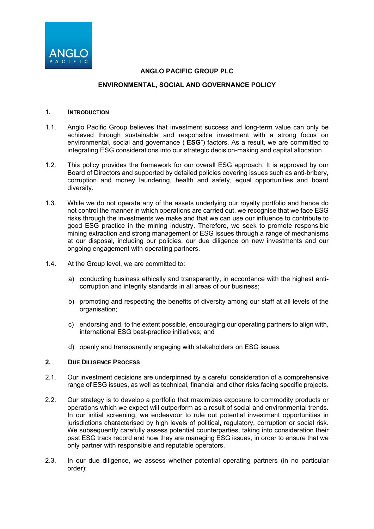

## **ANGLO PACIFIC GROUP PLC**

## **ENVIRONMENTAL, SOCIAL AND GOVERNANCE POLICY**

### **1. INTRODUCTION**

- 1.1. Anglo Pacific Group believes that investment success and long-term value can only be achieved through sustainable and responsible investment with a strong focus on environmental, social and governance ("**ESG**") factors. As a result, we are committed to integrating ESG considerations into our strategic decision-making and capital allocation.
- 1.2. This policy provides the framework for our overall ESG approach. It is approved by our Board of Directors and supported by detailed policies covering issues such as anti-bribery, corruption and money laundering, health and safety, equal opportunities and board diversity.
- 1.3. While we do not operate any of the assets underlying our royalty portfolio and hence do not control the manner in which operations are carried out, we recognise that we face ESG risks through the investments we make and that we can use our influence to contribute to good ESG practice in the mining industry. Therefore, we seek to promote responsible mining extraction and strong management of ESG issues through a range of mechanisms at our disposal, including our policies, our due diligence on new investments and our ongoing engagement with operating partners.
- 1.4. At the Group level, we are committed to:
	- a) conducting business ethically and transparently, in accordance with the highest anticorruption and integrity standards in all areas of our business;
	- b) promoting and respecting the benefits of diversity among our staff at all levels of the organisation;
	- c) endorsing and, to the extent possible, encouraging our operating partners to align with, international ESG best-practice initiatives; and
	- d) openly and transparently engaging with stakeholders on ESG issues.

#### **2. DUE DILIGENCE PROCESS**

- 2.1. Our investment decisions are underpinned by a careful consideration of a comprehensive range of ESG issues, as well as technical, financial and other risks facing specific projects.
- 2.2. Our strategy is to develop a portfolio that maximizes exposure to commodity products or operations which we expect will outperform as a result of social and environmental trends. In our initial screening, we endeavour to rule out potential investment opportunities in jurisdictions characterised by high levels of political, regulatory, corruption or social risk. We subsequently carefully assess potential counterparties, taking into consideration their past ESG track record and how they are managing ESG issues, in order to ensure that we only partner with responsible and reputable operators.
- 2.3. In our due diligence, we assess whether potential operating partners (in no particular order):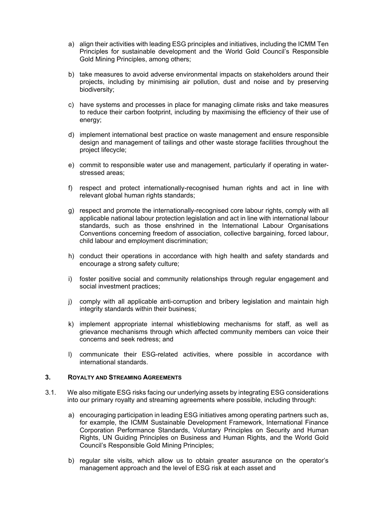- a) align their activities with leading ESG principles and initiatives, including the ICMM Ten Principles for sustainable development and the World Gold Council's Responsible Gold Mining Principles, among others;
- b) take measures to avoid adverse environmental impacts on stakeholders around their projects, including by minimising air pollution, dust and noise and by preserving biodiversity;
- c) have systems and processes in place for managing climate risks and take measures to reduce their carbon footprint, including by maximising the efficiency of their use of energy;
- d) implement international best practice on waste management and ensure responsible design and management of tailings and other waste storage facilities throughout the project lifecycle;
- e) commit to responsible water use and management, particularly if operating in waterstressed areas;
- f) respect and protect internationally-recognised human rights and act in line with relevant global human rights standards;
- g) respect and promote the internationally-recognised core labour rights, comply with all applicable national labour protection legislation and act in line with international labour standards, such as those enshrined in the International Labour Organisations Conventions concerning freedom of association, collective bargaining, forced labour, child labour and employment discrimination;
- h) conduct their operations in accordance with high health and safety standards and encourage a strong safety culture;
- i) foster positive social and community relationships through regular engagement and social investment practices;
- j) comply with all applicable anti-corruption and bribery legislation and maintain high integrity standards within their business;
- k) implement appropriate internal whistleblowing mechanisms for staff, as well as grievance mechanisms through which affected community members can voice their concerns and seek redress; and
- l) communicate their ESG-related activities, where possible in accordance with international standards.

### **3. ROYALTY AND STREAMING AGREEMENTS**

- 3.1. We also mitigate ESG risks facing our underlying assets by integrating ESG considerations into our primary royalty and streaming agreements where possible, including through:
	- a) encouraging participation in leading ESG initiatives among operating partners such as, for example, the ICMM Sustainable Development Framework, International Finance Corporation Performance Standards, Voluntary Principles on Security and Human Rights, UN Guiding Principles on Business and Human Rights, and the World Gold Council's Responsible Gold Mining Principles;
	- b) regular site visits, which allow us to obtain greater assurance on the operator's management approach and the level of ESG risk at each asset and